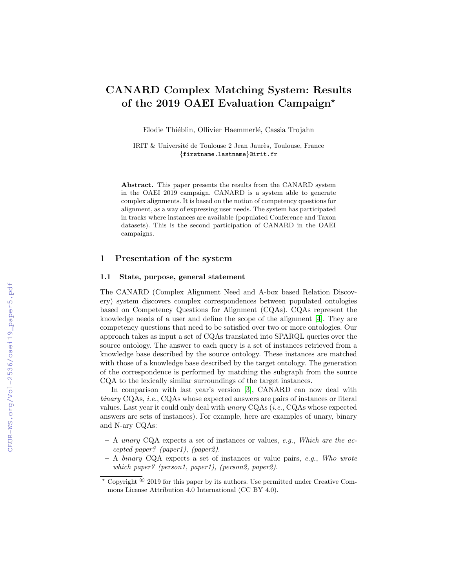# CANARD Complex Matching System: Results of the 2019 OAEI Evaluation Campaign?

Elodie Thiéblin, Ollivier Haemmerlé, Cassia Trojahn

IRIT & Université de Toulouse 2 Jean Jaurès, Toulouse, France {firstname.lastname}@irit.fr

Abstract. This paper presents the results from the CANARD system in the OAEI 2019 campaign. CANARD is a system able to generate complex alignments. It is based on the notion of competency questions for alignment, as a way of expressing user needs. The system has participated in tracks where instances are available (populated Conference and Taxon datasets). This is the second participation of CANARD in the OAEI campaigns.

### 1 Presentation of the system

#### 1.1 State, purpose, general statement

The CANARD (Complex Alignment Need and A-box based Relation Discovery) system discovers complex correspondences between populated ontologies based on Competency Questions for Alignment (CQAs). CQAs represent the knowledge needs of a user and define the scope of the alignment [\[4\]](#page--1-0). They are competency questions that need to be satisfied over two or more ontologies. Our approach takes as input a set of CQAs translated into SPARQL queries over the source ontology. The answer to each query is a set of instances retrieved from a knowledge base described by the source ontology. These instances are matched with those of a knowledge base described by the target ontology. The generation of the correspondence is performed by matching the subgraph from the source CQA to the lexically similar surroundings of the target instances.

In comparison with last year's version [\[3\]](#page--1-1), CANARD can now deal with binary CQAs, *i.e.*, CQAs whose expected answers are pairs of instances or literal values. Last year it could only deal with unary CQAs (i.e., CQAs whose expected answers are sets of instances). For example, here are examples of unary, binary and N-ary CQAs:

- $-$  A *unary* CQA expects a set of instances or values, *e.g.*, *Which are the ac*cepted paper? (paper1), (paper2).
- $A$  binary CQA expects a set of instances or value pairs, e.g., Who wrote which paper? (person1, paper1), (person2, paper2).

 $\star$  Copyright  $\odot$  2019 for this paper by its authors. Use permitted under Creative Commons License Attribution 4.0 International (CC BY 4.0).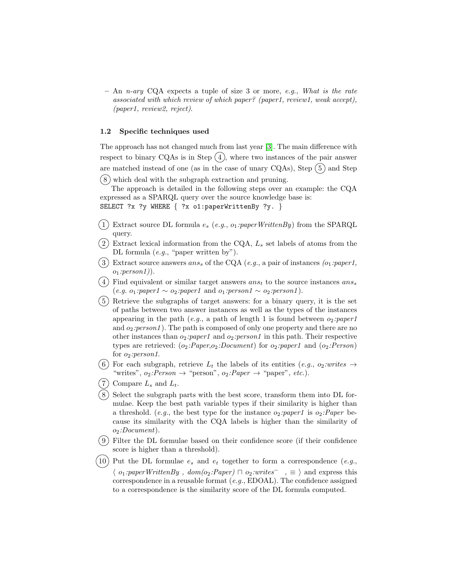$-$  An *n*-ary CQA expects a tuple of size 3 or more, e.g., What is the rate associated with which review of which paper? (paper1, review1, weak accept), (paper1, review2, reject).

#### 1.2 Specific techniques used

The approach has not changed much from last year [\[3\]](#page-8-0). The main difference with respect to binary CQAs is in Step  $(4)$ , where two instances of the pair answer are matched instead of one (as in the case of unary CQAs), Step  $(5)$  and Step  $(8)$  which deal with the subgraph extraction and pruning.

The approach is detailed in the following steps over an example: the CQA expressed as a SPARQL query over the source knowledge base is: SELECT ?x ?y WHERE { ?x o1:paperWrittenBy ?y. }

- $(1)$  Extract source DL formula  $e_s$  (e.g.,  $o_1:paperWritenBy)$  from the SPARQL query.
- $(2)$  Extract lexical information from the CQA,  $L_s$  set labels of atoms from the DL formula (e.g., "paper written by").
- $(3)$  Extract source answers ans<sub>s</sub> of the CQA (e.g., a pair of instances (o<sub>1</sub>:paper1,  $o_1:person1)$ ).
- $(4)$  Find equivalent or similar target answers ans<sub>t</sub> to the source instances ans<sub>s</sub>  $(e.g. o_1:paper1 \sim o_2:paper1$  and  $o_1:person1 \sim o_2:person1)$ .
- 5 Retrieve the subgraphs of target answers: for a binary query, it is the set of paths between two answer instances as well as the types of the instances appearing in the path (e.g., a path of length 1 is found between  $o_2$ :*paper1* and  $o_2:person1$ . The path is composed of only one property and there are no other instances than  $o_2:paper1$  and  $o_2:person1$  in this path. Their respective types are retrieved:  $(o_2:Paper, o_2:Document)$  for  $o_2:paper1$  and  $(o_2:Person)$ for  $o_2:person1$ .
- (6) For each subgraph, retrieve  $L_t$  the labels of its entities (e.g.,  $o_2: writes \rightarrow$ "writes",  $o_2:Person \rightarrow "person", o_2:Paper \rightarrow "paper", etc.).$
- $(7)$  Compare  $L_s$  and  $L_t$ .
- 8 Select the subgraph parts with the best score, transform them into DL formulae. Keep the best path variable types if their similarity is higher than a threshold. (e.g., the best type for the instance  $o_2:paper1$  is  $o_2:Paper$  because its similarity with the CQA labels is higher than the similarity of  $o_2:Document$ ).
- 9 Filter the DL formulae based on their confidence score (if their confidence score is higher than a threshold).
- 10) Put the DL formulae  $e_s$  and  $e_t$  together to form a correspondence (e.g.,  $\langle o_1:paperWriterBy, dom(o_2:Paper) \sqcap o_2:writer \sqsubset , \equiv \rangle$  and express this correspondence in a reusable format  $(e.g., EDOAL)$ . The confidence assigned to a correspondence is the similarity score of the DL formula computed.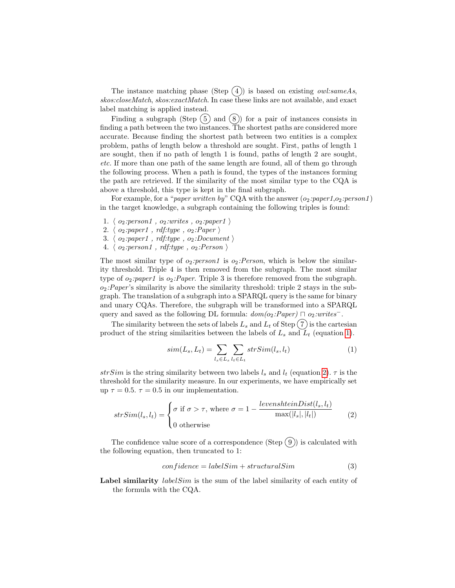The instance matching phase (Step  $(4)$ ) is based on existing *owl:sameAs*, skos:closeMatch, skos:exactMatch. In case these links are not available, and exact label matching is applied instead.

Finding a subgraph (Step  $(5)$  and  $(8)$ ) for a pair of instances consists in finding a path between the two instances. The shortest paths are considered more accurate. Because finding the shortest path between two entities is a complex problem, paths of length below a threshold are sought. First, paths of length 1 are sought, then if no path of length 1 is found, paths of length 2 are sought, etc. If more than one path of the same length are found, all of them go through the following process. When a path is found, the types of the instances forming the path are retrieved. If the similarity of the most similar type to the CQA is above a threshold, this type is kept in the final subgraph.

For example, for a "paper written by" CQA with the answer  $(o_2:paper, o_2:person1)$ in the target knowledge, a subgraph containing the following triples is found:

- 1.  $\langle o_2:person1, o_2:writes, o_2:paper1 \rangle$
- 2.  $\langle o_2:paper1$ , rdf:type,  $o_2:Paper\rangle$
- 3.  $\langle o_2:paper1$ , rdf:type,  $o_2:Document$
- 4.  $\langle o_2:person1, rdf:type, o_2:Person \rangle$

The most similar type of  $o_2:person1$  is  $o_2:Person$ , which is below the similarity threshold. Triple 4 is then removed from the subgraph. The most similar type of  $o_2:paper1$  is  $o_2:Paper. Triple 3$  is therefore removed from the subgraph.  $o_2$ : Paper's similarity is above the similarity threshold: triple 2 stays in the subgraph. The translation of a subgraph into a SPARQL query is the same for binary and unary CQAs. Therefore, the subgraph will be transformed into a SPARQL query and saved as the following DL formula:  $dom(o_2:Paper) \sqcap o_2: writes^{-}$ .

The similarity between the sets of labels  $L_s$  and  $L_t$  of Step  $(7)$  is the cartesian product of the string similarities between the labels of  $L_s$  and  $L_t$  (equation [1\)](#page-2-0).

<span id="page-2-1"></span><span id="page-2-0"></span>
$$
sim(L_s, L_t) = \sum_{l_s \in L_s} \sum_{l_t \in L_t} strSim(l_s, l_t)
$$
\n<sup>(1)</sup>

strSim is the string similarity between two labels  $l_s$  and  $l_t$  (equation [2\)](#page-2-1).  $\tau$  is the threshold for the similarity measure. In our experiments, we have empirically set up  $\tau = 0.5$ .  $\tau = 0.5$  in our implementation.

$$
strSim(l_s, l_t) = \begin{cases} \sigma \text{ if } \sigma > \tau, \text{ where } \sigma = 1 - \frac{levenshteinDist(l_s, l_t)}{\max(|l_s|, |l_t|)} \\ 0 \text{ otherwise} \end{cases}
$$
 (2)

The confidence value score of a correspondence (Step  $(9)$ ) is calculated with the following equation, then truncated to 1:

$$
confidence = labelSim + structuralSim
$$
\n(3)

Label similarity *labelSim* is the sum of the label similarity of each entity of the formula with the CQA.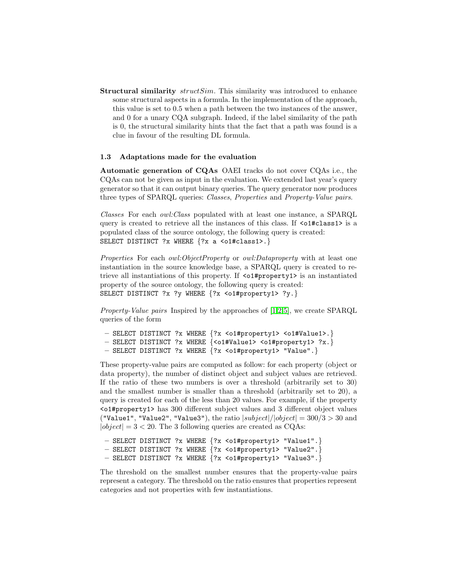**Structural similarity** struct Sim. This similarity was introduced to enhance some structural aspects in a formula. In the implementation of the approach, this value is set to 0.5 when a path between the two instances of the answer, and 0 for a unary CQA subgraph. Indeed, if the label similarity of the path is 0, the structural similarity hints that the fact that a path was found is a clue in favour of the resulting DL formula.

#### 1.3 Adaptations made for the evaluation

Automatic generation of CQAs OAEI tracks do not cover CQAs i.e., the CQAs can not be given as input in the evaluation. We extended last year's query generator so that it can output binary queries. The query generator now produces three types of SPARQL queries: Classes, Properties and Property-Value pairs.

Classes For each owl:Class populated with at least one instance, a SPARQL query is created to retrieve all the instances of this class. If  $\leq$  1#class1> is a populated class of the source ontology, the following query is created: SELECT DISTINCT ?x WHERE  ${?x a < 01#class1>.}$ 

Properties For each *owl:ObjectProperty* or *owl:Dataproperty* with at least one instantiation in the source knowledge base, a SPARQL query is created to retrieve all instantiations of this property. If <o1#property1> is an instantiated property of the source ontology, the following query is created: SELECT DISTINCT ?x ?y WHERE {?x <o1#property1> ?y.}

Property-Value pairs Inspired by the approaches of [\[1](#page-8-1)[,2,](#page-8-2)[5\]](#page-8-3), we create SPARQL queries of the form

```
– SELECT DISTINCT ?x WHERE {?x <o1#property1> <o1#Value1>.}
– SELECT DISTINCT ?x WHERE {<o1#Value1> <o1#property1> ?x.}
– SELECT DISTINCT ?x WHERE {?x <o1#property1> "Value".}
```
These property-value pairs are computed as follow: for each property (object or data property), the number of distinct object and subject values are retrieved. If the ratio of these two numbers is over a threshold (arbitrarily set to 30) and the smallest number is smaller than a threshold (arbitrarily set to 20), a query is created for each of the less than 20 values. For example, if the property  $\leq$  1#property1> has 300 different subject values and 3 different object values ("Value1", "Value2", "Value3"), the ratio  $|subject|/|object| = 300/3 > 30$  and  $|object| = 3 < 20$ . The 3 following queries are created as CQAs:

```
– SELECT DISTINCT ?x WHERE {?x <o1#property1> "Value1".}
– SELECT DISTINCT ?x WHERE {?x <o1#property1> "Value2".}
– SELECT DISTINCT ?x WHERE {?x <o1#property1> "Value3".}
```
The threshold on the smallest number ensures that the property-value pairs represent a category. The threshold on the ratio ensures that properties represent categories and not properties with few instantiations.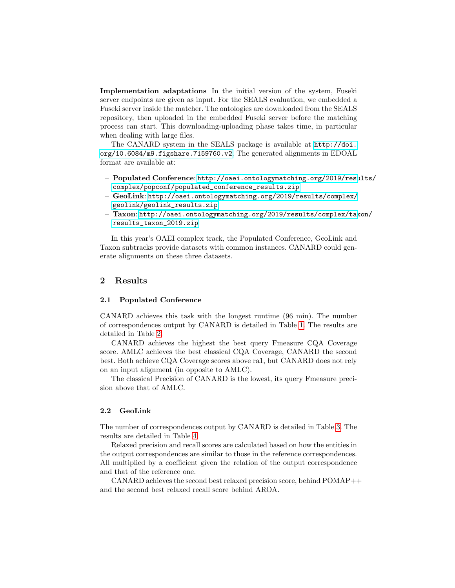Implementation adaptations In the initial version of the system, Fuseki server endpoints are given as input. For the SEALS evaluation, we embedded a Fuseki server inside the matcher. The ontologies are downloaded from the SEALS repository, then uploaded in the embedded Fuseki server before the matching process can start. This downloading-uploading phase takes time, in particular when dealing with large files.

The CANARD system in the SEALS package is available at [http://doi.](http://doi.org/10.6084/m9.figshare.7159760.v2) [org/10.6084/m9.figshare.7159760.v2](http://doi.org/10.6084/m9.figshare.7159760.v2). The generated alignments in EDOAL format are available at:

- Populated Conference: [http://oaei.ontologymatching.org/2019/resu](http://oaei.ontologymatching.org/2019/results/complex/popconf/populated_conference_results.zip)lts/ [complex/popconf/populated\\_conference\\_results.zip](http://oaei.ontologymatching.org/2019/results/complex/popconf/populated_conference_results.zip)
- GeoLink: [http://oaei.ontologymatching.org/2019/results/complex/](http://oaei.ontologymatching.org/2019/results/complex/geolink/geolink_results.zip) [geolink/geolink\\_results.zip](http://oaei.ontologymatching.org/2019/results/complex/geolink/geolink_results.zip)
- Taxon: [http://oaei.ontologymatching.org/2019/results/complex/tax](http://oaei.ontologymatching.org/2019/results/complex/taxon/results_taxon_2019.zip)on/ [results\\_taxon\\_2019.zip](http://oaei.ontologymatching.org/2019/results/complex/taxon/results_taxon_2019.zip)

In this year's OAEI complex track, the Populated Conference, GeoLink and Taxon subtracks provide datasets with common instances. CANARD could generate alignments on these three datasets.

## 2 Results

#### 2.1 Populated Conference

CANARD achieves this task with the longest runtime (96 min). The number of correspondences output by CANARD is detailed in Table [1.](#page-5-0) The results are detailed in Table [2.](#page-6-0)

CANARD achieves the highest the best query Fmeasure CQA Coverage score. AMLC achieves the best classical CQA Coverage, CANARD the second best. Both achieve CQA Coverage scores above ra1, but CANARD does not rely on an input alignment (in opposite to AMLC).

The classical Precision of CANARD is the lowest, its query Fmeasure precision above that of AMLC.

#### 2.2 GeoLink

The number of correspondences output by CANARD is detailed in Table [3.](#page-6-1) The results are detailed in Table [4.](#page-7-0)

Relaxed precision and recall scores are calculated based on how the entities in the output correspondences are similar to those in the reference correspondences. All multiplied by a coefficient given the relation of the output correspondence and that of the reference one.

CANARD achieves the second best relaxed precision score, behind POMAP++ and the second best relaxed recall score behind AROA.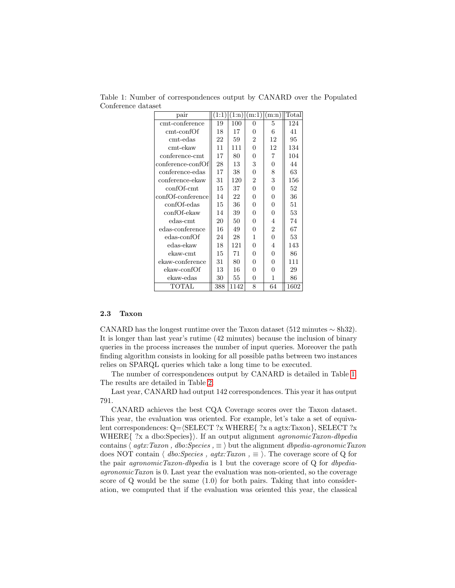| pair              |     |      |                | (1:1) (1:n) (m:1) (m:n) | Total |
|-------------------|-----|------|----------------|-------------------------|-------|
| cmt-conference    | 19  | 100  | 0              | 5                       | 124   |
| cmt-confOf        | 18  | 17   | 0              | 6                       | 41    |
| cmt-edas          | 22  | 59   | $\overline{2}$ | 12                      | 95    |
| $\text{cmt-ekaw}$ | 11  | 111  | $\overline{0}$ | 12                      | 134   |
| conference-cmt    | 17  | 80   | 0              | $\overline{7}$          | 104   |
| conference-confOf | 28  | 13   | 3              | 0                       | 44    |
| conference-edas   | 17  | 38   | $\theta$       | 8                       | 63    |
| conference-ekaw   | 31  | 120  | $\overline{2}$ | 3                       | 156   |
| confOf-cmt        | 15  | 37   | $\overline{0}$ | 0                       | 52    |
| confOf-conference | 14  | 22   | 0              | 0                       | 36    |
| confOf-edas       | 15  | 36   | 0              | 0                       | 51    |
| confOf-ekaw       | 14  | 39   | 0              | 0                       | 53    |
| $edas-cmt$        | 20  | 50   | 0              | 4                       | 74    |
| edas-conference   | 16  | 49   | $\theta$       | $\overline{2}$          | 67    |
| edas-confOf       | 24  | 28   | $\mathbf{1}$   | $\overline{0}$          | 53    |
| edas-ekaw         | 18  | 121  | $\overline{0}$ | 4                       | 143   |
| $ekaw-cmt$        | 15  | 71   | 0              | 0                       | 86    |
| ekaw-conference   | 31  | 80   | 0              | 0                       | 111   |
| ekaw-confOf       | 13  | 16   | $\theta$       | 0                       | 29    |
| ekaw-edas         | 30  | 55   | 0              | 1                       | 86    |
| TOTAL             | 388 | 1142 | 8              | 64                      | 1602  |
|                   |     |      |                |                         |       |

<span id="page-5-0"></span>Table 1: Number of correspondences output by CANARD over the Populated Conference dataset

#### 2.3 Taxon

CANARD has the longest runtime over the Taxon dataset (512 minutes  $\sim$  8h32). It is longer than last year's rutime (42 minutes) because the inclusion of binary queries in the process increases the number of input queries. Moreover the path finding algorithm consists in looking for all possible paths between two instances relies on SPARQL queries which take a long time to be executed.

The number of correspondences output by CANARD is detailed in Table [1.](#page-5-0) The results are detailed in Table [2.](#page-6-0)

Last year, CANARD had output 142 correspondences. This year it has output 791.

CANARD achieves the best CQA Coverage scores over the Taxon dataset. This year, the evaluation was oriented. For example, let's take a set of equivalent correspondences:  $Q = \langle SELECT ?x \text{ WHERE} \{ ?x \text{ a } agtx: Taxon \}, SELECT ?x \rangle$ WHERE $\{$  ?x a dbo:Species}). If an output alignment *agronomicTaxon-dbpedia* contains  $\langle \text{agtx: Taxon }, \text{dbc:Species }, \equiv \rangle$  but the alignment dbpedia-agronomicTaxon does NOT contain  $\langle dbo: Species, aqtx: Taxon \rangle = \rangle$ . The coverage score of Q for the pair *agronomicTaxon-dbpedia* is 1 but the coverage score of  $Q$  for *dbpedia*agronomicTaxon is 0. Last year the evaluation was non-oriented, so the coverage score of Q would be the same (1.0) for both pairs. Taking that into consideration, we computed that if the evaluation was oriented this year, the classical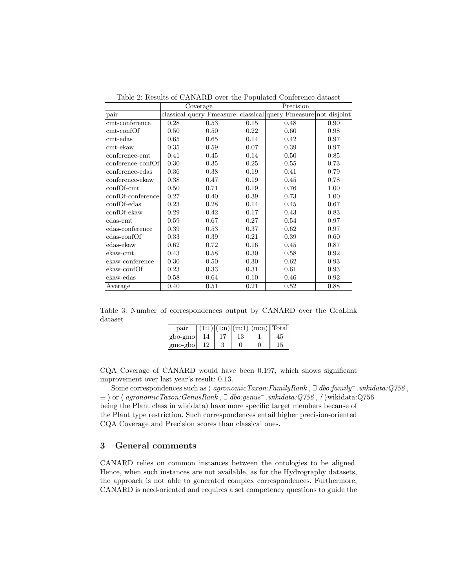|                   | Coverage |                          | Precision |                                       |      |  |  |
|-------------------|----------|--------------------------|-----------|---------------------------------------|------|--|--|
| pair              |          | classical query Fmeasure |           | classical query Fmeasure not disjoint |      |  |  |
| cmt-conference    | 0.28     | 0.53                     | 0.15      | 0.48                                  | 0.90 |  |  |
| $cm t$ -conf $Of$ | 0.50     | 0.50                     | 0.22      | 0.60                                  | 0.98 |  |  |
| $\rm cm$ t-edas   | 0.65     | 0.65                     | 0.14      | 0.42                                  | 0.97 |  |  |
| $\text{cmt-ekaw}$ | 0.35     | 0.59                     | 0.07      | 0.39                                  | 0.97 |  |  |
| conference-cmt    | 0.41     | 0.45                     | 0.14      | 0.50                                  | 0.85 |  |  |
| conference-confOf | 0.30     | 0.35                     | 0.25      | 0.55                                  | 0.73 |  |  |
| conference-edas   | 0.36     | 0.38                     | 0.19      | 0.41                                  | 0.79 |  |  |
| conference-ekaw   | 0.38     | 0.47                     | 0.19      | 0.45                                  | 0.78 |  |  |
| confOf-cmt        | 0.50     | 0.71                     | 0.19      | 0.76                                  | 1.00 |  |  |
| confOf-conference | 0.27     | 0.40                     | 0.39      | 0.73                                  | 1.00 |  |  |
| confOf-edas       | 0.23     | 0.28                     | 0.14      | 0.45                                  | 0.67 |  |  |
| confOf-ekaw       | 0.29     | 0.42                     | 0.17      | 0.43                                  | 0.83 |  |  |
| $edas$ -cmt       | 0.59     | 0.67                     | 0.27      | 0.54                                  | 0.97 |  |  |
| edas-conference   | 0.39     | 0.53                     | 0.37      | 0.62                                  | 0.97 |  |  |
| edas-confOf       | 0.33     | 0.39                     | 0.21      | 0.39                                  | 0.60 |  |  |
| edas-ekaw         | 0.62     | 0.72                     | 0.16      | 0.45                                  | 0.87 |  |  |
| ekaw-cmt          | 0.43     | 0.58                     | 0.30      | 0.58                                  | 0.92 |  |  |
| ekaw-conference   | 0.30     | 0.50                     | 0.30      | 0.62                                  | 0.93 |  |  |
| ekaw-confOf       | 0.23     | 0.33                     | 0.31      | 0.61                                  | 0.93 |  |  |
| ekaw-edas         | 0.58     | 0.64                     | 0.10      | 0.46                                  | 0.92 |  |  |
| Average           | 0.40     | 0.51                     | 0.21      | 0.52                                  | 0.88 |  |  |

<span id="page-6-0"></span>Table 2: Results of CANARD over the Populated Conference dataset

<span id="page-6-1"></span>Table 3: Number of correspondences output by CANARD over the GeoLink dataset

| pair                            |          |    | $1:1$ ] $(1:n)(m:1)(m:n)$  Total] |    |
|---------------------------------|----------|----|-----------------------------------|----|
| $ gbo-gmo $                     | $\Delta$ | 13 |                                   | 45 |
| $\left  \text{gmo-gbo} \right $ | 12       |    |                                   | 15 |

CQA Coverage of CANARD would have been 0.197, which shows significant improvement over last year's result: 0.13.

Some correspondences such as  $\langle$  agronomicTaxon:FamilyRank , ∃ dbo:family<sup>-</sup>.wikidata:Q756 ,  $\equiv$  \ or  $\langle$  agronomicTaxon:GenusRank ,  $\exists$  dbo:genus<sup>-</sup>.wikidata:Q756 , ( \wikidata:Q756 being the Plant class in wikidata) have more specific target members because of the Plant type restriction. Such correspondences entail higher precision-oriented CQA Coverage and Precision scores than classical ones.

# 3 General comments

CANARD relies on common instances between the ontologies to be aligned. Hence, when such instances are not available, as for the Hydrography datasets, the approach is not able to generated complex correspondences. Furthermore, CANARD is need-oriented and requires a set competency questions to guide the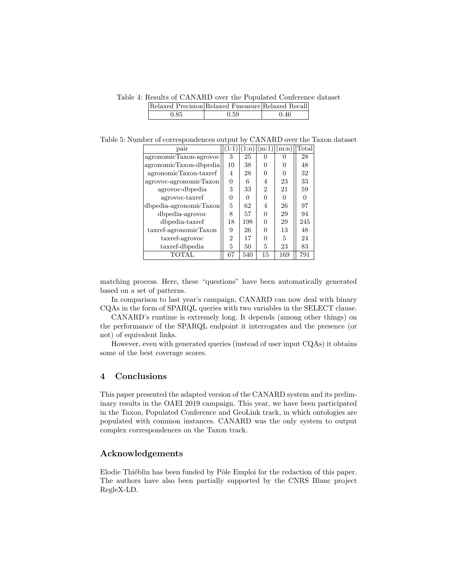<span id="page-7-0"></span>Table 4: Results of CANARD over the Populated Conference dataset Relaxed Precision Relaxed Fmeasure Relaxed Recall 0.85 0.59 0.46

Table 5: Number of correspondences output by CANARD over the Taxon dataset

| pair                   |                | 1:n)         | m:1)         | (m:n)        | Total |
|------------------------|----------------|--------------|--------------|--------------|-------|
| agronomicTaxon-agrovoc | 3              | 25           | $\mathbf{0}$ |              | 28    |
| agronomicTaxon-dbpedia | 10             | 38           | ∩            | $\mathbf{0}$ | 48    |
| agronomicTaxon-taxref  | 4              | 28           | O            | 0            | 32    |
| agrovoc-agronomicTaxon | $\Omega$       | 6            | 4            | 23           | 33    |
| agrovoc-dbpedia        | 3              | 33           | 2            | 21           | 59    |
| agrovoc-taxref         | 0              | $\mathbf{0}$ | O            | 0            |       |
| dbpedia-agronomicTaxon | 5              | 62           | 4            | 26           | 97    |
| dbpedia-agrovoc        | 8              | 57           | $\Omega$     | 29           | 94    |
| dbpedia-taxref         | 18             | 198          | ∩            | 29           | 245   |
| taxref-agronomicTaxon  | 9              | 26           | ∩            | 13           | 48    |
| taxref-agrovoc         | $\overline{2}$ | 17           | O            | 5            | 24    |
| taxref-dbpedia         | 5              | 50           | 5            | 23           | 83    |
| <b>TOTAL</b>           | 67             | 540          | 15           | 169          | 791   |

matching process. Here, these "questions" have been automatically generated based on a set of patterns.

In comparison to last year's campaign, CANARD can now deal with binary CQAs in the form of SPARQL queries with two variables in the SELECT clause.

CANARD's runtime is extremely long. It depends (among other things) on the performance of the SPARQL endpoint it interrogates and the presence (or not) of equivalent links.

However, even with generated queries (instead of user input CQAs) it obtains some of the best coverage scores.

## 4 Conclusions

This paper presented the adapted version of the CANARD system and its preliminary results in the OAEI 2019 campaign. This year, we have been participated in the Taxon, Populated Conference and GeoLink track, in which ontologies are populated with common instances. CANARD was the only system to output complex correspondences on the Taxon track.

## Acknowledgements

Elodie Thiéblin has been funded by Pôle Emploi for the redaction of this paper. The authors have also been partially supported by the CNRS Blanc project RegleX-LD.